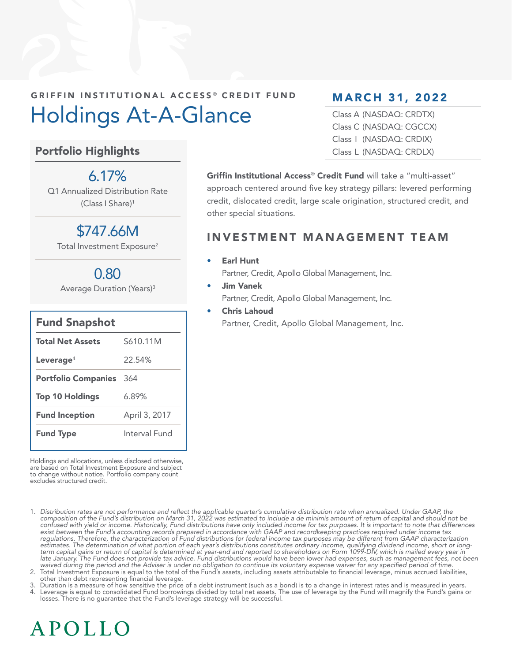## GRIFFIN INSTITUTIONAL ACCESS<sup>®</sup> CREDIT FUND Holdings At-A-Glance

#### Portfolio Highlights

#### $6.17\%$

Q1 Annualized Distribution Rate (Class I Share)1

## \$747.66M

Total Investment Exposure<sup>2</sup>

## 0.80

Average Duration (Years)3

| <b>Fund Snapshot</b>       |               |
|----------------------------|---------------|
| <b>Total Net Assets</b>    | \$610.11M     |
| Leverage <sup>4</sup>      | 22.54%        |
| <b>Portfolio Companies</b> | 364           |
| <b>Top 10 Holdings</b>     | 6.89%         |
| <b>Fund Inception</b>      | April 3, 2017 |
| <b>Fund Type</b>           | Interval Fund |

Holdings and allocations, unless disclosed otherwise, are based on Total Investment Exposure and subject to change without notice. Portfolio company count excludes structured credit.

1. Distribution rates are not performance and reflect the applicable quarter's cumulative distribution rate when annualized. Under GAAP, the<br>composition of the Fund's distribution on March 31, 2022 was estimated to include confused with yield or income. Historically, Fund distributions have only included income for tax purposes. It is important to note that differences exist between the Fund's accounting records prepared in accordance with GAAP and recordkeeping practices required under income tax regulations. Therefore, the characterization of Fund distributions for federal income tax purposes may be different from GAAP characterization estimates. The determination of what portion of each year's distributions constitutes ordinary income, qualifying dividend income, short or long-<br>term capital gains or return of capital is determined at year-end and report late January. The Fund does not provide tax advice. Fund distributions would have been lower had expenses, such as management fees, not been waived during the period and the Adviser is under no obligation to continue its voluntary expense waiver for any specified period of time.

2. Total Investment Exposure is equal to the total of the Fund's assets, including assets attributable to financial leverage, minus accrued liabilities, other than debt representing financial leverage.

3. Duration is a measure of how sensitive the price of a debt instrument (such as a bond) is to a change in interest rates and is measured in years. Leverage is equal to consolidated Fund borrowings divided by total net assets. The use of leverage by the Fund will magnify the Fund's gains or losses. There is no guarantee that the Fund's leverage strategy will be successful.

### MARCH 31, 2022

Class A (NASDAQ: CRDTX) Class C (NASDAQ: CGCCX) Class I (NASDAQ: CRDIX) Class L (NASDAQ: CRDLX)

Griffin Institutional Access® Credit Fund will take a "multi-asset" approach centered around five key strategy pillars: levered performing credit, dislocated credit, large scale origination, structured credit, and other special situations.

#### INVESTMENT MANAGEMENT TEAM

#### **Earl Hunt**

Partner, Credit, Apollo Global Management, Inc.

- Jim Vanek Partner, Credit, Apollo Global Management, Inc.
- Chris Lahoud Partner, Credit, Apollo Global Management, Inc.

# APOLLO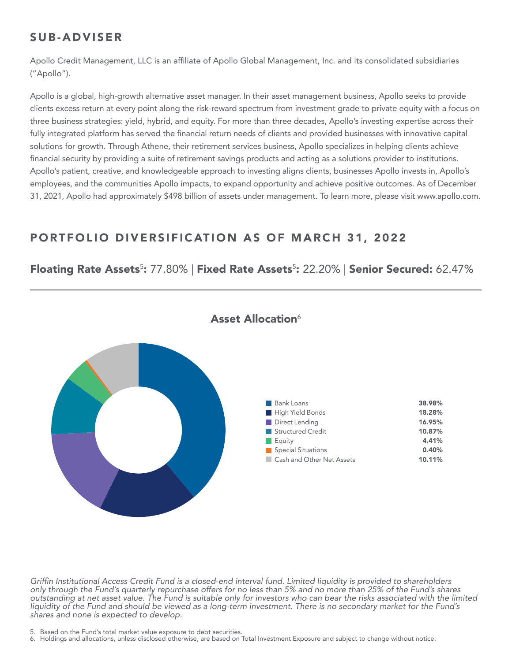#### SUB-ADVISER

Apollo Credit Management, LLC is an affiliate of Apollo Global Management, Inc. and its consolidated subsidiaries ("Apollo").

Apollo is a global, high-growth alternative asset manager. In their asset management business, Apollo seeks to provide clients excess return at every point along the risk-reward spectrum from investment grade to private equity with a focus on three business strategies: yield, hybrid, and equity. For more than three decades, Apollo's investing expertise across their fully integrated platform has served the financial return needs of clients and provided businesses with innovative capital solutions for growth. Through Athene, their retirement services business, Apollo specializes in helping clients achieve financial security by providing a suite of retirement savings products and acting as a solutions provider to institutions. Apollo's patient, creative, and knowledgeable approach to investing aligns clients, businesses Apollo invests in, Apollo's employees, and the communities Apollo impacts, to expand opportunity and achieve positive outcomes. As of December 31, 2021, Apollo had approximately \$498 billion of assets under management. To learn more, please visit www.apollo.com.

#### PORTFOLIO DIVERSIFICATION AS OF MARCH 31, 2022

#### Floating Rate Assets<sup>5</sup>: 77.80% | Fixed Rate Assets<sup>5</sup>: 22.20% | Senior Secured: 62.47%



#### Asset Allocation<sup>6</sup>

Griffin Institutional Access Credit Fund is a closed-end interval fund. Limited liquidity is provided to shareholders only through the Fund's quarterly repurchase offers for no less than 5% and no more than 25% of the Fund's shares outstanding at net asset value. The Fund is suitable only for investors who can bear the risks associated with the limited liquidity of the Fund and should be viewed as a long-term investment. There is no secondary market for the Fund's shares and none is expected to develop.

5. Based on the Fund's total market value exposure to debt securities.

6. Holdings and allocations, unless disclosed otherwise, are based on Total Investment Exposure and subject to change without notice.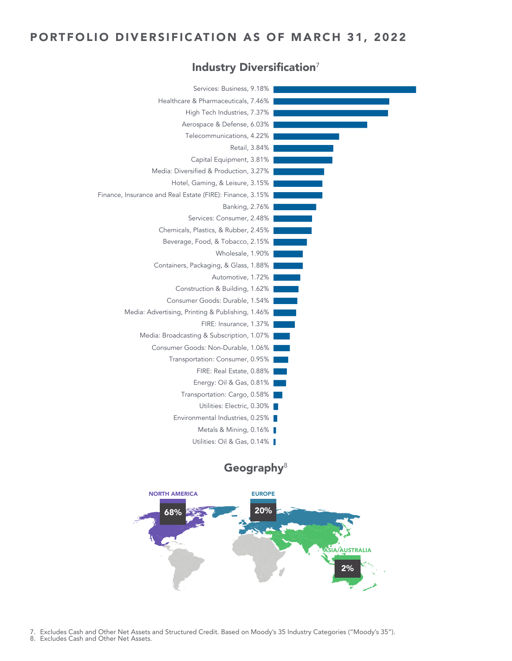#### PORTFOLIO DIVERSIFICATION AS OF MARCH 31, 2022

#### Industry Diversification<sup>7</sup>



#### Geography $8$



7. Excludes Cash and Other Net Assets and Structured Credit. Based on Moody's 35 Industry Categories ("Moody's 35").

8. Excludes Cash and Other Net Assets.